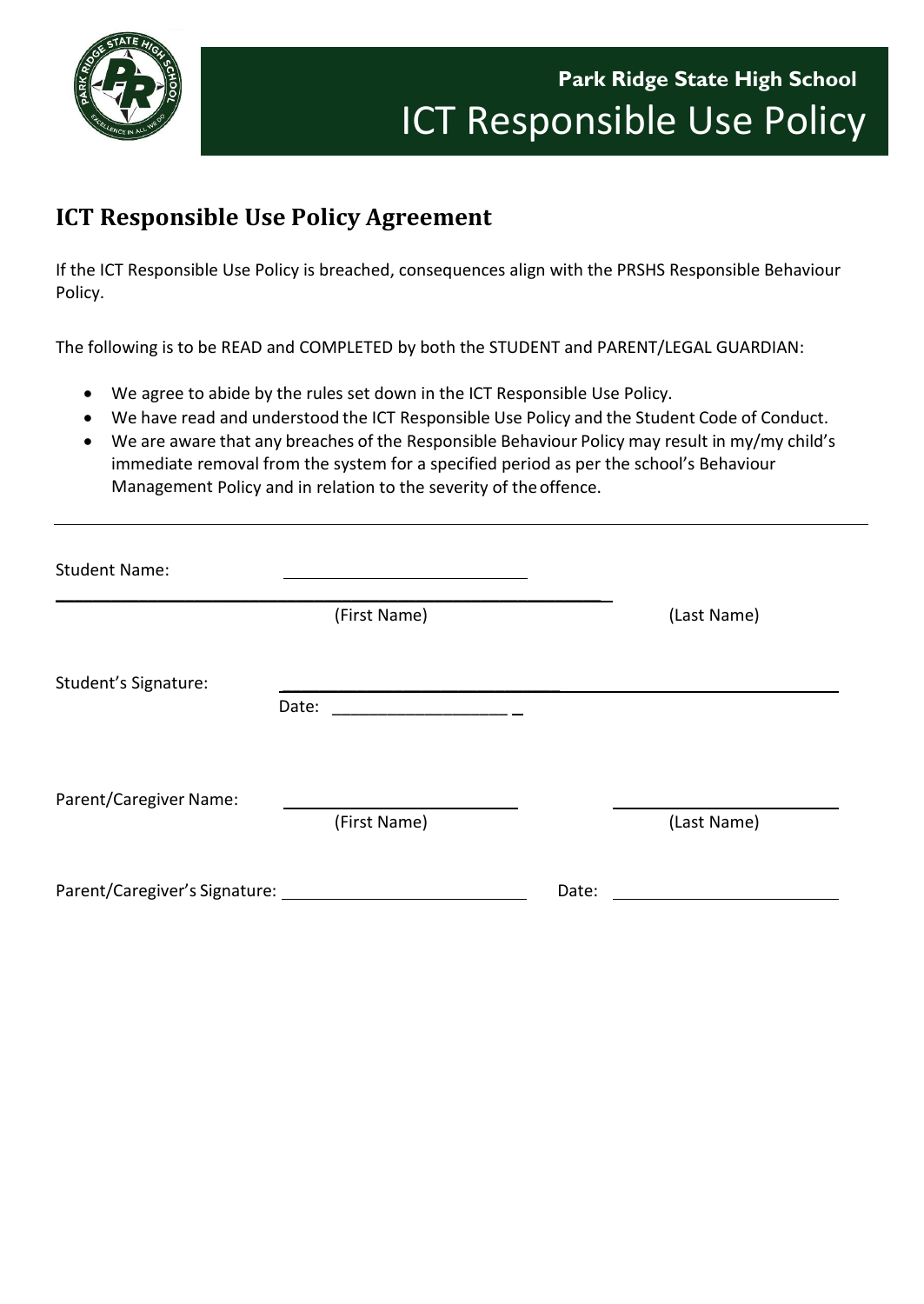

## **ICT Responsible Use Policy Agreement**

If the ICT Responsible Use Policy is breached, consequences align with the PRSHS Responsible Behaviour Policy.

The following is to be READ and COMPLETED by both the STUDENT and PARENT/LEGAL GUARDIAN:

- We agree to abide by the rules set down in the ICT Responsible Use Policy.
- We have read and understood the ICT Responsible Use Policy and the Student Code of Conduct.
- We are aware that any breaches of the Responsible Behaviour Policy may result in my/my child's immediate removal from the system for a specified period as per the school's Behaviour Management Policy and in relation to the severity of theoffence.

| <b>Student Name:</b>                      |                                                                                                                          |       |             |
|-------------------------------------------|--------------------------------------------------------------------------------------------------------------------------|-------|-------------|
|                                           | (First Name)                                                                                                             |       | (Last Name) |
| Student's Signature:                      | Date:<br>the contract of the contract of the contract of the contract of the contract of the contract of the contract of |       |             |
|                                           |                                                                                                                          |       |             |
| Parent/Caregiver Name:                    | (First Name)                                                                                                             |       | (Last Name) |
| Parent/Caregiver's Signature: ___________ |                                                                                                                          | Date: |             |